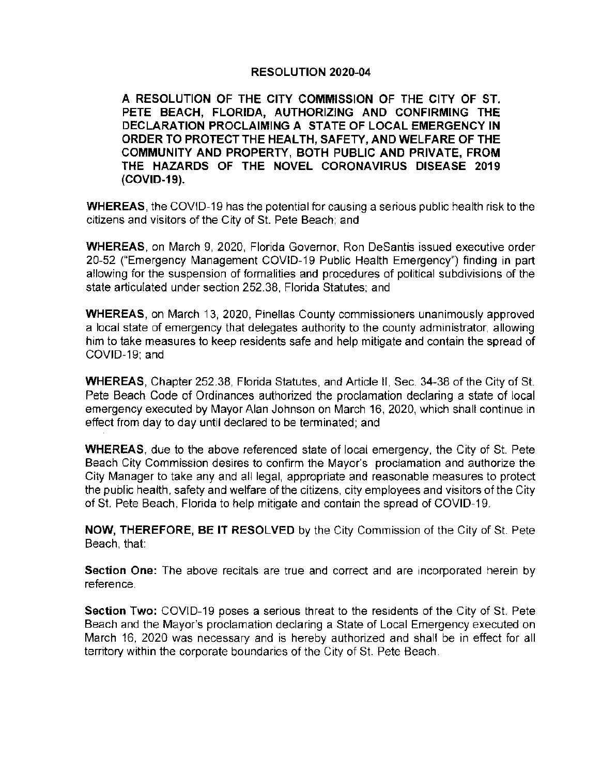## **RESOLUTION 2020-04**

**A RESOLUTION OF THE CITY COMMISSION OF THE CITY OF ST. PETE BEACH, FLORIDA, AUTHORIZING AND CONFIRMING THE DECLARATION PROCLAIMING A STATE OF LOCAL EMERGENCY IN ORDER TO PROTECT THE HEAL TH, SAFETY, AND WELFARE OF THE COMMUNITY AND PROPERTY, BOTH PUBLIC AND PRIVATE, FROM THE HAZARDS OF THE NOVEL CORONAVIRUS DISEASE 2019 (COVID-19).** 

**WHEREAS ,** the COVID-19 has the potential for causing a serious public health risk to the citizens and visitors of the City of St. Pete Beach: and

**WHEREAS,** on March 9, 2020, Florida Governor, Ron Desantis issued executive order 20-52 ("Emergency Management COVID-19 Public Health Emergency") finding in part allowing for the suspension of formalities and procedures of political subdivisions of the state articulated under section 252.38, Florida Statutes; and

**WHEREAS,** on March 13, 2020, Pinellas County commissioners unanimously approved a local state of emergency that delegates authority to the county administrator, allowing him to take measures to keep residents safe and help mitigate and contain the spread of COVID-19; and

**WHEREAS,** Chapter 252.38, Florida Statutes, and Article II , Sec. 34-38 of the City of St. Pete Beach Code of Ordinances authorized the proclamation declaring a state of local emergency executed by Mayor Alan Johnson on March 16, 2020, which shall continue in effect from day to day until declared to be terminated; and

**WHEREAS,** due to the above referenced state of local emergency, the City of St. Pete Beach City Commission desires to confirm the Mayor's proclamation and authorize the City Manager to take any and all legal, appropriate and reasonable measures to protect the public health , safety and welfare of the citizens, city employees and visitors of the City of St. Pete Beach, Florida to help mitigate and contain the spread of COVID-19.

**NOW, THEREFORE, BE IT RESOLVED** by the City Commission of the City of St. Pete Beach, that:

**Section One:** The above recitals are true and correct and are incorporated herein by reference.

**Section Two:** COVID-19 poses a serious threat to the residents of the City of St. Pete Beach and the Mayor's proclamation declaring a State of Local Emergency executed on March 16, 2020 was necessary and is hereby authorized and shall be in effect for all territory within the corporate boundaries of the City of St. Pete Beach .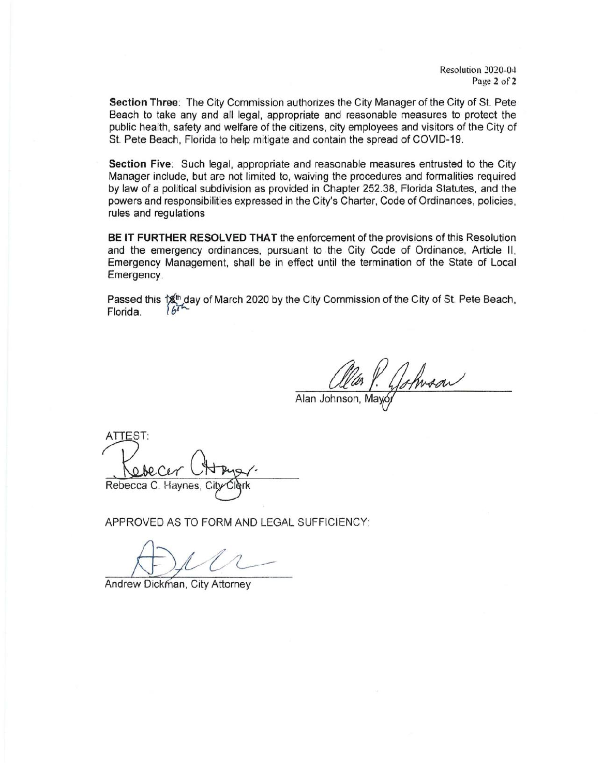**Section Three:** The City Commission authorizes the City Manager of the City of St. Pete Beach to take any and all legal, appropriate and reasonable measures to protect the public health, safety and welfare of the citizens. city employees and visitors of the City of St. Pete Beach, Florida to help mitigate and contain the spread of COVID-19.

**Section Five:** Such legal, appropriate and reasonable measures entrusted to the City Manager include, but are not limited to, waiving the procedures and formalities required by law of a political subdivision as provided in Chapter 252.38, Florida Statutes, and the powers and responsibilities expressed in the City's Charter, Code of Ordinances, policies , rules and regulations

**BE IT FURTHER RESOLVED THAT** the enforcement of the provisions of this Resolution and the emergency ordinances, pursuant to the City Code of Ordinance, Article II, Emergency Management, shall be in effect until the termination of the State of Local Emergency.

Passed this  $\frac{4}{3}$  day of March 2020 by the City Commission of the City of St. Pete Beach, Florida.  $\sqrt{67}$ 

P. Johnson

Alan Johnson, May

ATIEST: Rebecca C. Haynes,

APPROVED AS TO FORM AND LEGAL SUFFICIENCY:

Andrew Dickman, City Attorney